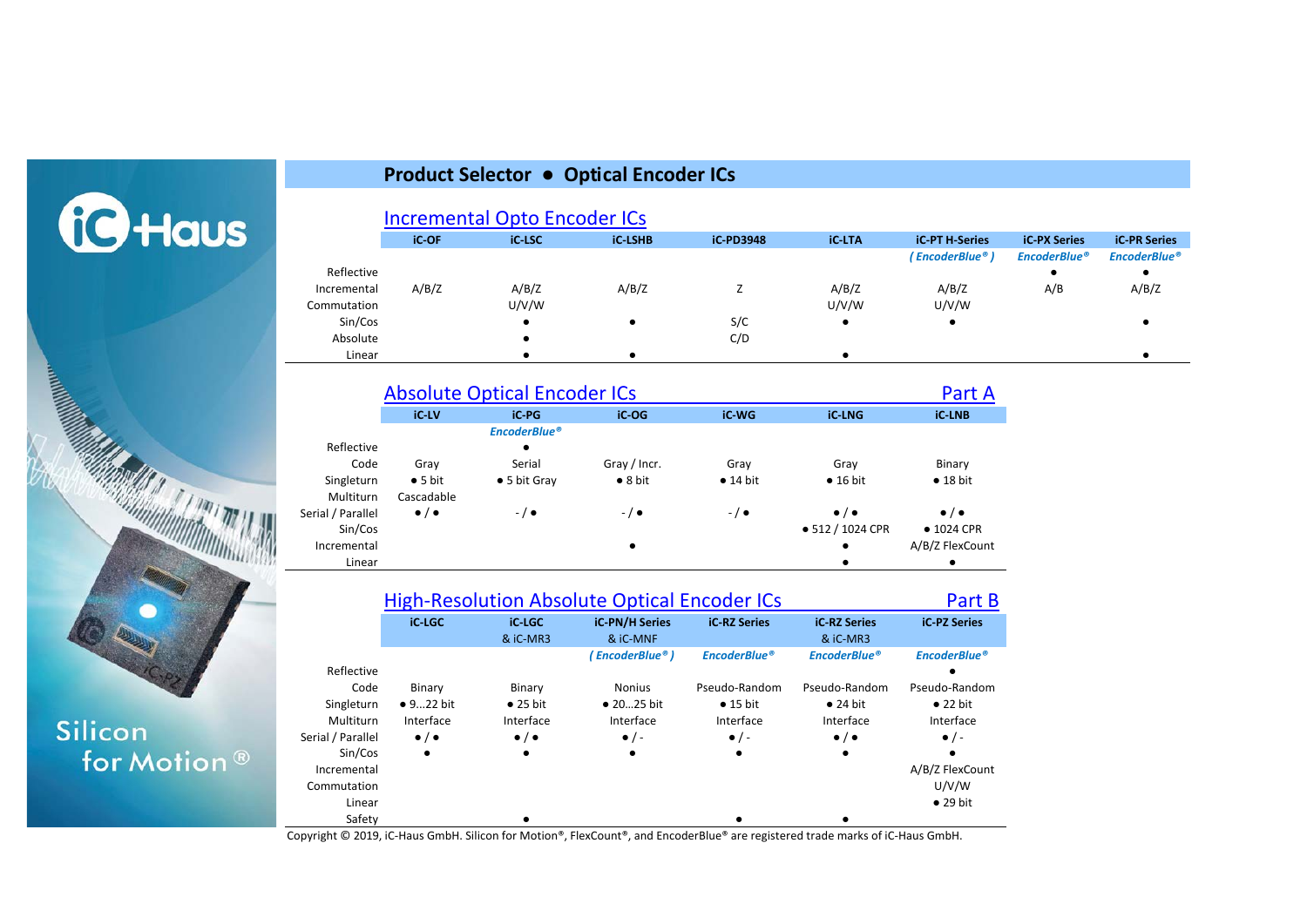

# Silicon for Motion<sup>®</sup>

#### **Product Selector ● Optical Encoder ICs**

**[Incremental Opto Encoder ICs](#page-1-0)** 

|             | <b>iC-OF</b> | <b>iC-LSC</b> | <b>iC-LSHB</b> | <b>iC-PD3948</b> | <b>iC-LTA</b> | <b>iC-PT H-Series</b> | <b>iC-PX Series</b> | <b>iC-PR Series</b> |
|-------------|--------------|---------------|----------------|------------------|---------------|-----------------------|---------------------|---------------------|
|             |              |               |                |                  |               | ( EncoderBlue® )      | <b>EncoderBlue®</b> | <b>EncoderBlue®</b> |
| Reflective  |              |               |                |                  |               |                       |                     |                     |
| Incremental | A/B/Z        | A/B/Z         | A/B/Z          |                  | A/B/Z         | A/B/Z                 | A/B                 | A/B/Z               |
| Commutation |              | U/V/W         |                |                  | U/V/W         | U/V/W                 |                     |                     |
| Sin/Cos     |              |               |                | S/C              |               |                       |                     |                     |
| Absolute    |              |               |                | C/D              |               |                       |                     |                     |
| Linear      |              |               |                |                  |               |                       |                     |                     |

|                   | <b>Absolute Optical Encoder ICs</b> |                      | Part A          |                  |                       |                       |
|-------------------|-------------------------------------|----------------------|-----------------|------------------|-----------------------|-----------------------|
|                   | <b>iC-LV</b>                        | iC-PG                | iC-OG           | iC-WG            | <b>iC-LNG</b>         | <b>iC-LNB</b>         |
|                   |                                     | <b>EncoderBlue®</b>  |                 |                  |                       |                       |
| Reflective        |                                     | ٠                    |                 |                  |                       |                       |
| Code              | Gray                                | Serial               | Gray / Incr.    | Gray             | Grav                  | Binary                |
| Singleturn        | $\bullet$ 5 bit                     | $\bullet$ 5 bit Gray | $\bullet$ 8 bit | $\bullet$ 14 bit | $\bullet$ 16 bit      | $\bullet$ 18 bit      |
| Multiturn         | Cascadable                          |                      |                 |                  |                       |                       |
| Serial / Parallel | $\bullet$ / $\bullet$               | $-$ / $\bullet$      | $-/-$           | $-$ / $\bullet$  | $\bullet$ / $\bullet$ | $\bullet$ / $\bullet$ |
| Sin/Cos           |                                     |                      |                 |                  | • 512 / 1024 CPR      | $\bullet$ 1024 CPR    |
| Incremental       |                                     |                      | $\bullet$       |                  | $\bullet$             | A/B/Z FlexCount       |
| Linear            |                                     |                      |                 |                  | ٠                     | ٠                     |

|                   | <b>High-Resolution Absolute Optical Encoder ICs</b> | Part B                          |                     |                     |                       |                     |
|-------------------|-----------------------------------------------------|---------------------------------|---------------------|---------------------|-----------------------|---------------------|
|                   | <b>iC-LGC</b>                                       | <b>iC-RZ Series</b><br>& iC-MR3 | <b>iC-PZ Series</b> |                     |                       |                     |
|                   |                                                     |                                 | (EncoderBlue®)      | <b>EncoderBlue®</b> | <b>EncoderBlue®</b>   | <b>EncoderBlue®</b> |
| Reflective        |                                                     |                                 |                     |                     |                       |                     |
| Code              | Binary                                              | Binary                          | <b>Nonius</b>       | Pseudo-Random       | Pseudo-Random         | Pseudo-Random       |
| Singleturn        | $\bullet$ 922 bit                                   | $\bullet$ 25 bit                | $\bullet$ 2025 bit  | $\bullet$ 15 bit    | $\bullet$ 24 bit      | $\bullet$ 22 bit    |
| Multiturn         | Interface                                           | Interface                       | Interface           | Interface           | Interface             | Interface           |
| Serial / Parallel | $\bullet$ / $\bullet$                               | $\bullet$ / $\bullet$           | $\bullet$ / -       | $\bullet$ / -       | $\bullet$ / $\bullet$ | $\bullet$ / -       |
| Sin/Cos           | $\bullet$                                           | $\bullet$                       |                     | ٠                   | $\bullet$             |                     |
| Incremental       |                                                     |                                 |                     |                     |                       | A/B/Z FlexCount     |
| Commutation       |                                                     |                                 |                     |                     |                       | U/V/W               |
| Linear            |                                                     |                                 |                     |                     |                       | $\bullet$ 29 bit    |
| Safety            |                                                     |                                 |                     |                     |                       |                     |

Copyright © 2019, iC-Haus GmbH. Silicon for Motion®, FlexCount®, and EncoderBlue® are registered trade marks of iC-Haus GmbH.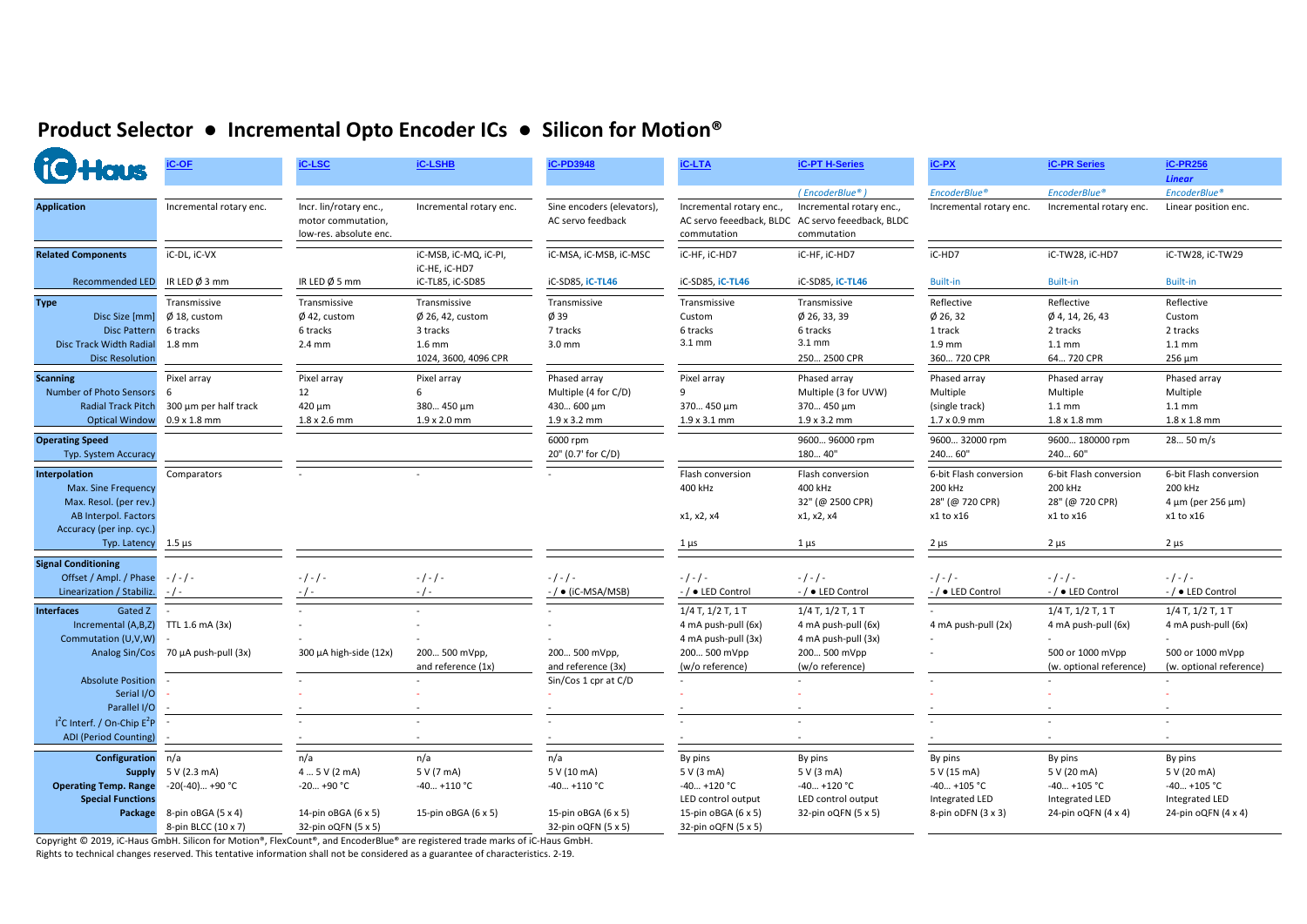## <span id="page-1-0"></span>**Product Selector ● Incremental Opto Encoder ICs ● Silicon for Motion®**

| <b>10 Haus</b>                                                                                                     | <b>iC-OF</b>                                                             | <b>IC-LSC</b>                                                          | <b>iC-LSHB</b>                                                                                                    | iC-PD3948                                                          | <b>iC-LTA</b>                                                                         | <b>iC-PT H-Series</b>                                                                        | <b>iC-PX</b>                                                                   | <b>iC-PR Series</b>                                                             | <b>iC-PR256</b><br><b>Linear</b>                                                |
|--------------------------------------------------------------------------------------------------------------------|--------------------------------------------------------------------------|------------------------------------------------------------------------|-------------------------------------------------------------------------------------------------------------------|--------------------------------------------------------------------|---------------------------------------------------------------------------------------|----------------------------------------------------------------------------------------------|--------------------------------------------------------------------------------|---------------------------------------------------------------------------------|---------------------------------------------------------------------------------|
|                                                                                                                    |                                                                          |                                                                        |                                                                                                                   |                                                                    |                                                                                       | (EncoderBlue®)                                                                               | EncoderBlue®                                                                   | EncoderBlue®                                                                    | EncoderBlue®                                                                    |
| <b>Application</b>                                                                                                 | Incremental rotary enc.                                                  | Incr. lin/rotary enc.,<br>motor commutation,<br>low-res. absolute enc. | Incremental rotary enc.                                                                                           | Sine encoders (elevators),<br>AC servo feedback                    | Incremental rotary enc.,<br>commutation                                               | Incremental rotary enc.,<br>AC servo feeedback, BLDC AC servo feeedback, BLDC<br>commutation | Incremental rotary enc.                                                        | Incremental rotary enc.                                                         | Linear position enc.                                                            |
| <b>Related Components</b>                                                                                          | iC-DL, iC-VX                                                             |                                                                        | iC-MSB, iC-MQ, iC-PI,<br>iC-HE, iC-HD7                                                                            | iC-MSA, iC-MSB, iC-MSC                                             | iC-HF, iC-HD7                                                                         | iC-HF, iC-HD7                                                                                | iC-HD7                                                                         | iC-TW28, iC-HD7                                                                 | iC-TW28, iC-TW29                                                                |
| <b>Recommended LED</b>                                                                                             | IR LED $\emptyset$ 3 mm                                                  | IR LED $\emptyset$ 5 mm                                                | iC-TL85, iC-SD85                                                                                                  | iC-SD85, iC-TL46                                                   | iC-SD85, iC-TL46                                                                      | iC-SD85, iC-TL46                                                                             | <b>Built-in</b>                                                                | <b>Built-in</b>                                                                 | <b>Built-in</b>                                                                 |
| <b>Type</b><br>Disc Size [mm]<br><b>Disc Pattern</b><br>Disc Track Width Radial<br><b>Disc Resolution</b>          | Transmissive<br>$\varnothing$ 18, custom<br>6 tracks<br>$1.8 \text{ mm}$ | Transmissive<br>$\emptyset$ 42, custom<br>6 tracks<br>2.4 mm           | Transmissive<br>$\varnothing$ 26, 42, custom<br>3 tracks<br>$1.6$ mm<br>1024, 3600, 4096 CPR                      | Transmissive<br>Ø 39<br>7 tracks<br>3.0 mm                         | Transmissive<br>Custom<br>6 tracks<br>3.1 mm                                          | Transmissive<br>$\phi$ 26, 33, 39<br>6 tracks<br>3.1 mm<br>250 2500 CPR                      | Reflective<br>$Ø$ 26, 32<br>1 track<br>1.9 mm<br>360 720 CPR                   | Reflective<br>Ø 4, 14, 26, 43<br>2 tracks<br>$1.1 \text{ mm}$<br>64 720 CPR     | Reflective<br>Custom<br>2 tracks<br>$1.1 \text{ mm}$<br>$256 \mu m$             |
| <b>Scanning</b><br>Number of Photo Sensors<br><b>Radial Track Pitch</b><br><b>Optical Window</b>                   | Pixel array<br>-6<br>300 µm per half track<br>$0.9 \times 1.8$ mm        | Pixel array<br>12<br>420 μm<br>1.8 x 2.6 mm                            | Pixel array<br>6<br>380 450 µm<br>$1.9 \times 2.0$ mm                                                             | Phased array<br>Multiple (4 for C/D)<br>430 600 µm<br>1.9 x 3.2 mm | Pixel array<br>9<br>370 450 µm<br>$1.9 \times 3.1 \text{ mm}$                         | Phased array<br>Multiple (3 for UVW)<br>370 450 µm<br>$1.9 \times 3.2 \text{ mm}$            | Phased array<br>Multiple<br>(single track)<br>1.7 x 0.9 mm                     | Phased array<br>Multiple<br>$1.1 \text{ mm}$<br>$1.8 \times 1.8$ mm             | Phased array<br>Multiple<br>$1.1 \text{ mm}$<br>$1.8 \times 1.8$ mm             |
| <b>Operating Speed</b><br>Typ. System Accuracy                                                                     |                                                                          |                                                                        |                                                                                                                   | 6000 rpm<br>20" (0.7' for C/D)                                     |                                                                                       | 9600 96000 rpm<br>180 40"                                                                    | 9600 32000 rpm<br>240 60"                                                      | 9600 180000 rpm<br>240 60"                                                      | 28 50 m/s                                                                       |
| Interpolation<br>Max. Sine Frequency<br>Max. Resol. (per rev.)<br>AB Interpol. Factors<br>Accuracy (per inp. cyc.) | Comparators                                                              |                                                                        |                                                                                                                   |                                                                    | Flash conversion<br>400 kHz<br>x1, x2, x4                                             | Flash conversion<br>400 kHz<br>32" (@ 2500 CPR)<br>x1, x2, x4                                | 6-bit Flash conversion<br>200 kHz<br>28" (@ 720 CPR)<br>x1 to x16              | 6-bit Flash conversion<br>200 kHz<br>28" (@ 720 CPR)<br>x1 to x16               | 6-bit Flash conversion<br>200 kHz<br>4 μm (per 256 μm)<br>x1 to x16             |
| Typ. Latency $1.5 \mu s$                                                                                           |                                                                          |                                                                        |                                                                                                                   |                                                                    | $1 \mu s$                                                                             | $1 \mu s$                                                                                    | $2 \mu s$                                                                      | $2 \mu s$                                                                       | $2 \mu s$                                                                       |
| <b>Signal Conditioning</b><br>Offset / Ampl. / Phase<br>Linearization / Stabiliz.                                  | $-/-/ -$<br>$-1$ -                                                       | $-/-/ -$                                                               | $-/-/ -$                                                                                                          | $-/-/ -$<br>- / ● (iC-MSA/MSB)                                     | $-/-/ -$<br>- / • LED Control                                                         | $-/-/ -$<br>-/ • LED Control                                                                 | $-/-/ -$<br>- / • LED Control                                                  | $-/-/ -$<br>-/ • LED Control                                                    | $-/-/ -$<br>-/ • LED Control                                                    |
| Gated Z<br><b>Interfaces</b><br>Incremental (A,B,Z)<br>Commutation (U,V,W)                                         | TTL 1.6 mA (3x)<br>Analog Sin/Cos 70 μA push-pull (3x)                   | $300 \mu A$ high-side (12x)                                            | 200 500 mVpp,                                                                                                     | 200 500 mVpp,                                                      | $1/4$ T, $1/2$ T, $1$ T<br>4 mA push-pull (6x)<br>4 mA push-pull (3x)<br>200 500 mVpp | $1/4$ T, $1/2$ T, $1$ T<br>4 mA push-pull (6x)<br>4 mA push-pull (3x)<br>200 500 mVpp        | 4 mA push-pull (2x)                                                            | $1/4$ T, $1/2$ T, $1$ T<br>4 mA push-pull (6x)<br>500 or 1000 mVpp              | $1/4$ T, $1/2$ T, $1$ T<br>4 mA push-pull (6x)<br>500 or 1000 mVpp              |
| <b>Absolute Position</b>                                                                                           |                                                                          |                                                                        | and reference (1x)                                                                                                | and reference (3x)<br>Sin/Cos 1 cpr at C/D                         | (w/o reference)                                                                       | (w/o reference)                                                                              |                                                                                | (w. optional reference)                                                         | (w. optional reference)                                                         |
| Serial I/O<br>Parallel I/O<br>$I2C$ Interf. / On-Chip $E2P$<br><b>ADI</b> (Period Counting)                        |                                                                          |                                                                        |                                                                                                                   |                                                                    |                                                                                       |                                                                                              |                                                                                |                                                                                 |                                                                                 |
| Configuration<br><b>Supply</b><br><b>Operating Temp. Range</b><br><b>Special Functions</b><br>Package              | n/a<br>5 V (2.3 mA)<br>$-20(-40)+90 °C$<br>8-pin oBGA (5 x 4)            | n/a<br>4  5 V (2 mA)<br>$-20+90 °C$<br>14-pin oBGA (6 x 5)             | n/a<br>5 V (7 mA)<br>$-40+110$ °C<br>15-pin oBGA (6 x 5)                                                          | n/a<br>5 V (10 mA)<br>$-40+110$ °C<br>15-pin oBGA (6 x 5)          | By pins<br>5 V (3 mA)<br>$-40+120$ °C<br>LED control output<br>15-pin oBGA (6 x 5)    | By pins<br>5 V (3 mA)<br>$-40+120$ °C<br>LED control output<br>32-pin oQFN (5 x 5)           | By pins<br>5 V (15 mA)<br>$-40+105$ °C<br>Integrated LED<br>8-pin oDFN (3 x 3) | By pins<br>5 V (20 mA)<br>$-40+105$ °C<br>Integrated LED<br>24-pin oQFN (4 x 4) | By pins<br>5 V (20 mA)<br>$-40+105$ °C<br>Integrated LED<br>24-pin oQFN (4 x 4) |
|                                                                                                                    | 8-pin BLCC (10 x 7)                                                      | 32-pin oQFN (5 x 5)                                                    | Convright @ 2019 iC Haus CmbH, Silicon for Motion®, FloyCount®, and EncoderPlue® are registered trade marks of iC | 32-pin oQFN (5 x 5)<br>Hour CmbH                                   | 32-pin oQFN (5 x 5)                                                                   |                                                                                              |                                                                                |                                                                                 |                                                                                 |

Copyright © 2019, iC-Haus GmbH. Silicon for Motion®, FlexCount®, and EncoderBlue® are registered trade marks of iC-Haus GmbH.

Rights to technical changes reserved. This tentative information shall not be considered as a guarantee of characteristics. 2-19.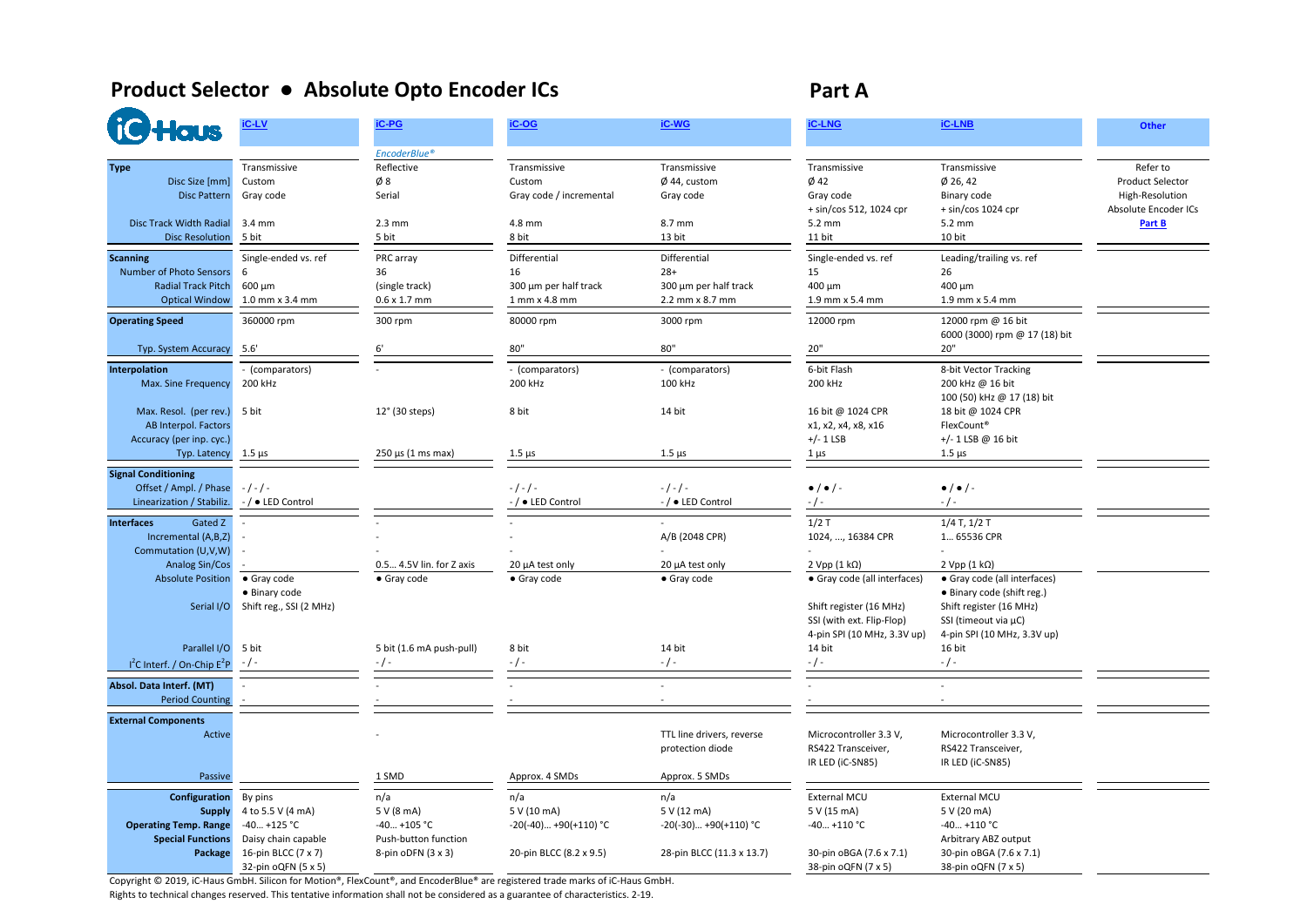### <span id="page-2-0"></span>**Product Selector ● Absolute Opto Encoder ICs Part A**

| <b>TGHaus</b>                                                                                                              | iC-LV                                                                                      | iC-PG<br>EncoderBlue®                                                          | iC-OG                                                                   | iC-WG                                                                       | <b>iC-LNG</b>                                                                       | <b>iC-LNB</b>                                                                                  | <b>Other</b>                                                                             |
|----------------------------------------------------------------------------------------------------------------------------|--------------------------------------------------------------------------------------------|--------------------------------------------------------------------------------|-------------------------------------------------------------------------|-----------------------------------------------------------------------------|-------------------------------------------------------------------------------------|------------------------------------------------------------------------------------------------|------------------------------------------------------------------------------------------|
| <b>Type</b><br>Disc Size [mm]<br><b>Disc Pattern</b><br><b>Disc Track Width Radial</b>                                     | Transmissive<br>Custom<br>Gray code<br>$3.4 \text{ mm}$                                    | Reflective<br>Ø8<br>Serial<br>$2.3 \text{ mm}$                                 | Transmissive<br>Custom<br>Gray code / incremental<br>4.8 mm             | Transmissive<br>$\emptyset$ 44, custom<br>Gray code<br>8.7 mm               | Transmissive<br>$Ø$ 42<br>Gray code<br>+ sin/cos 512, 1024 cpr<br>5.2 mm            | Transmissive<br>$Ø$ 26, 42<br>Binary code<br>$+ \sin/c$ os 1024 cpr<br>5.2 mm                  | Refer to<br><b>Product Selector</b><br>High-Resolution<br>Absolute Encoder ICs<br>Part B |
| <b>Disc Resolution</b><br><b>Scanning</b><br>Number of Photo Sensors<br><b>Radial Track Pitch</b><br><b>Optical Window</b> | 5 bit<br>Single-ended vs. ref<br>6<br>600 μm<br>1.0 mm x 3.4 mm                            | 5 bit<br>PRC array<br>36<br>(single track)<br>$0.6 \times 1.7$ mm              | 8 bit<br>Differential<br>16<br>300 µm per half track<br>1 mm x 4.8 mm   | 13 bit<br>Differential<br>$28+$<br>300 µm per half track<br>2.2 mm x 8.7 mm | 11 bit<br>Single-ended vs. ref<br>15<br>400 µm<br>1.9 mm x 5.4 mm                   | 10 bit<br>Leading/trailing vs. ref<br>26<br>400 µm<br>1.9 mm x 5.4 mm                          |                                                                                          |
| <b>Operating Speed</b><br>Typ. System Accuracy                                                                             | 360000 rpm<br>5.6'                                                                         | 300 rpm<br>6'                                                                  | 80000 rpm<br>80"                                                        | 3000 rpm<br>80"                                                             | 12000 rpm<br>20"                                                                    | 12000 rpm @ 16 bit<br>6000 (3000) rpm @ 17 (18) bit<br>20"                                     |                                                                                          |
| Interpolation<br>Max. Sine Frequency                                                                                       | - (comparators)<br>200 kHz                                                                 |                                                                                | - (comparators)<br>200 kHz                                              | - (comparators)<br>100 kHz                                                  | 6-bit Flash<br>200 kHz                                                              | 8-bit Vector Tracking<br>200 kHz @ 16 bit<br>100 (50) kHz @ 17 (18) bit                        |                                                                                          |
| Max. Resol. (per rev.)<br>AB Interpol. Factors<br>Accuracy (per inp. cyc.)                                                 | 5 bit                                                                                      | 12° (30 steps)                                                                 | 8 bit                                                                   | 14 bit                                                                      | 16 bit @ 1024 CPR<br>x1, x2, x4, x8, x16<br>$+/- 1$ LSB                             | 18 bit @ 1024 CPR<br>FlexCount <sup>®</sup><br>$+/- 1$ LSB @ 16 bit                            |                                                                                          |
| Typ. Latency                                                                                                               | $1.5 \ \mu s$                                                                              | $250 \mu s (1 \text{ ms max})$                                                 | $1.5 \mu s$                                                             | $1.5 \mu s$                                                                 | $1 \mu s$                                                                           | $1.5 \,\mu s$                                                                                  |                                                                                          |
| <b>Signal Conditioning</b><br>Offset / Ampl. / Phase<br>Linearization / Stabiliz.                                          | $-/-/ -$<br>-/ • LED Control                                                               |                                                                                | $-1 - 1 -$<br>/ ● LED Control                                           | $-1 - 1 -$<br>-/ • LED Control                                              | $\bullet$ / $\bullet$ / -                                                           | $\bullet$ / $\bullet$ / -<br>$-$ / $-$                                                         |                                                                                          |
| <b>Interfaces</b><br>Gated Z<br>Incremental (A,B,Z)<br>Commutation (U,V,W)                                                 |                                                                                            |                                                                                |                                                                         | A/B (2048 CPR)                                                              | $1/2$ T<br>1024, , 16384 CPR                                                        | $1/4$ T, $1/2$ T<br>1 65536 CPR                                                                |                                                                                          |
| Analog Sin/Cos<br><b>Absolute Position</b>                                                                                 | • Gray code<br>• Binary code                                                               | 0.5 4.5V lin. for Z axis<br>• Gray code                                        | 20 µA test only<br>· Gray code                                          | 20 µA test only<br>• Gray code                                              | $2 Vpp (1 k\Omega)$<br>· Gray code (all interfaces)                                 | $2 Vpp (1 k\Omega)$<br>· Gray code (all interfaces)<br>• Binary code (shift reg.)              |                                                                                          |
| Serial I/O                                                                                                                 | Shift reg., SSI (2 MHz)                                                                    |                                                                                |                                                                         |                                                                             | Shift register (16 MHz)<br>SSI (with ext. Flip-Flop)<br>4-pin SPI (10 MHz, 3.3V up) | Shift register (16 MHz)<br>SSI (timeout via µC)<br>4-pin SPI (10 MHz, 3.3V up)                 |                                                                                          |
| Parallel I/O                                                                                                               | 5 bit                                                                                      | 5 bit (1.6 mA push-pull)                                                       | 8 bit                                                                   | 14 bit                                                                      | 14 bit                                                                              | 16 bit                                                                                         |                                                                                          |
| $I^2C$ Interf. / On-Chip $E^2P$<br>Absol. Data Interf. (MT)<br><b>Period Counting</b>                                      | $-/-$                                                                                      |                                                                                | - / -                                                                   | $-$ / $-$                                                                   | $-$ / $-$                                                                           | $-/-$                                                                                          |                                                                                          |
|                                                                                                                            |                                                                                            |                                                                                |                                                                         |                                                                             |                                                                                     |                                                                                                |                                                                                          |
| <b>External Components</b><br>Active                                                                                       |                                                                                            |                                                                                |                                                                         | TTL line drivers, reverse<br>protection diode                               | Microcontroller 3.3 V,<br>RS422 Transceiver,<br>IR LED (iC-SN85)                    | Microcontroller 3.3 V,<br>RS422 Transceiver,<br>IR LED (iC-SN85)                               |                                                                                          |
| Passive                                                                                                                    |                                                                                            | 1 SMD                                                                          | Approx. 4 SMDs                                                          | Approx. 5 SMDs                                                              |                                                                                     |                                                                                                |                                                                                          |
| Configuration<br><b>Supply</b><br><b>Operating Temp. Range</b><br><b>Special Functions</b><br>Package                      | By pins<br>4 to 5.5 V (4 mA)<br>$-40+125$ °C<br>Daisy chain capable<br>16-pin BLCC (7 x 7) | n/a<br>5 V (8 mA)<br>-40 +105 °C<br>Push-button function<br>8-pin oDFN (3 x 3) | n/a<br>5 V (10 mA)<br>$-20(-40)+90(+110)$ °C<br>20-pin BLCC (8.2 x 9.5) | n/a<br>5 V (12 mA)<br>$-20(-30)+90(+110)$ °C<br>28-pin BLCC (11.3 x 13.7)   | External MCU<br>5 V (15 mA)<br>$-40+110$ °C<br>30-pin oBGA (7.6 x 7.1)              | External MCU<br>5 V (20 mA)<br>$-40+110$ °C<br>Arbitrary ABZ output<br>30-pin oBGA (7.6 x 7.1) |                                                                                          |
|                                                                                                                            | 32-pin oQFN (5 x 5)                                                                        |                                                                                |                                                                         |                                                                             | 38-pin oQFN (7 x 5)                                                                 | 38-pin oQFN (7 x 5)                                                                            |                                                                                          |

Copyright © 2019, iC-Haus GmbH. Silicon for Motion®, FlexCount®, and EncoderBlue® are registered trade marks of iC-Haus GmbH.

Rights to technical changes reserved. This tentative information shall not be considered as a guarantee of characteristics. 2-19.